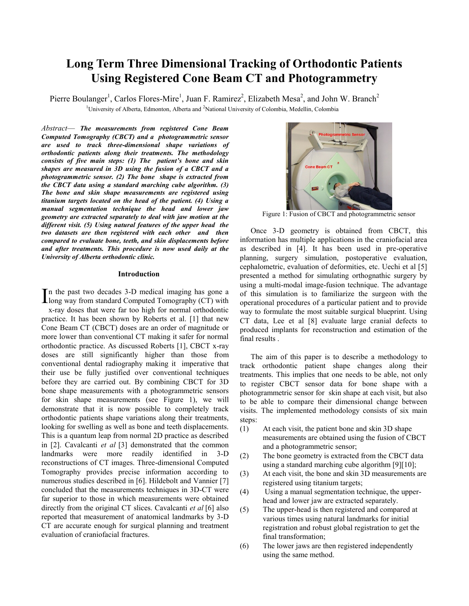# **Long Term Three Dimensional Tracking of Orthodontic Patients Using Registered Cone Beam CT and Photogrammetry**

<sup>1</sup>University of Alberta, Edmonton, Alberta and <sup>2</sup>National University of Colombia, Medellin, Colombia Pierre Boulanger<sup>1</sup>, Carlos Flores-Mire<sup>1</sup>, Juan F. Ramirez<sup>2</sup>, Elizabeth Mesa<sup>2</sup>, and John W. Branch<sup>2</sup>

*Abstract*— *The measurements from registered Cone Beam Computed Tomography (CBCT) and a photogrammetric sensor are used to track three-dimensional shape variations of orthodontic patients along their treatments. The methodology consists of five main steps: (1) The patient's bone and skin shapes are measured in 3D using the fusion of a CBCT and a photogrammetric sensor. (2) The bone shape is extracted from the CBCT data using a standard marching cube algorithm. (3) The bone and skin shape measurements are registered using titanium targets located on the head of the patient. (4) Using a manual segmentation technique the head and lower jaw geometry are extracted separately to deal with jaw motion at the different visit. (5) Using natural features of the upper head the two datasets are then registered with each other and then compared to evaluate bone, teeth, and skin displacements before and after treatments. This procedure is now used daily at the University of Alberta orthodontic clinic.*

#### **Introduction**

n the past two decades 3-D medical imaging has gone a In the past two decades  $3-D$  medical imaging has gone a long way from standard Computed Tomography (CT) with x-ray doses that were far too high for normal orthodontic practice. It has been shown by Roberts et al. [1] that new Cone Beam CT (CBCT) doses are an order of magnitude or more lower than conventional CT making it safer for normal orthodontic practice. As discussed Roberts [1], CBCT x-ray doses are still significantly higher than those from conventional dental radiography making it imperative that their use be fully justified over conventional techniques before they are carried out. By combining CBCT for 3D bone shape measurements with a photogrammetric sensors for skin shape measurements (see Figure 1), we will demonstrate that it is now possible to completely track orthodontic patients shape variations along their treatments, looking for swelling as well as bone and teeth displacements. This is a quantum leap from normal 2D practice as described in [2]. Cavalcanti *et al* [3] demonstrated that the common landmarks were more readily identified in 3-D reconstructions of CT images. Three-dimensional Computed Tomography provides precise information according to numerous studies described in [6]. Hildebolt and Vannier [7] concluded that the measurements techniques in 3D-CT were far superior to those in which measurements were obtained directly from the original CT slices. Cavalcanti *et al* [6] also reported that measurement of anatomical landmarks by 3-D CT are accurate enough for surgical planning and treatment evaluation of craniofacial fractures.



Figure 1: Fusion of CBCT and photogrammetric sensor

Once 3-D geometry is obtained from CBCT, this information has multiple applications in the craniofacial area as described in [4]. It has been used in pre-operative planning, surgery simulation, postoperative evaluation, cephalometric, evaluation of deformities, etc. Uechi et al [5] presented a method for simulating orthognathic surgery by using a multi-modal image-fusion technique. The advantage of this simulation is to familiarize the surgeon with the operational procedures of a particular patient and to provide way to formulate the most suitable surgical blueprint. Using CT data, Lee et al [8] evaluate large cranial defects to produced implants for reconstruction and estimation of the final results .

The aim of this paper is to describe a methodology to track orthodontic patient shape changes along their treatments. This implies that one needs to be able, not only to register CBCT sensor data for bone shape with a photogrammetric sensor for skin shape at each visit, but also to be able to compare their dimensional change between visits. The implemented methodology consists of six main steps:

- (1) At each visit, the patient bone and skin 3D shape measurements are obtained using the fusion of CBCT and a photogrammetric sensor;
- (2) The bone geometry is extracted from the CBCT data using a standard marching cube algorithm [9][10];
- (3) At each visit, the bone and skin 3D measurements are registered using titanium targets;
- (4) Using a manual segmentation technique, the upperhead and lower jaw are extracted separately.
- (5) The upper-head is then registered and compared at various times using natural landmarks for initial registration and robust global registration to get the final transformation;
- (6) The lower jaws are then registered independently using the same method.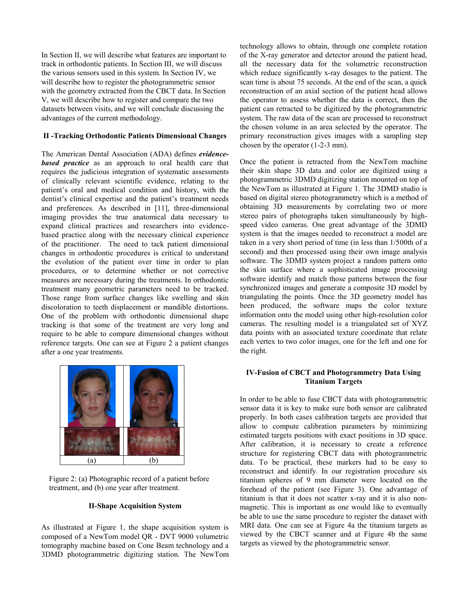In Section II, we will describe what features are important to track in orthodontic patients. In Section III, we will discuss the various sensors used in this system. In Section IV, we will describe how to register the photogrammetric sensor with the geometry extracted from the CBCT data. In Section V, we will describe how to register and compare the two datasets between visits, and we will conclude discussing the advantages of the current methodology.

# **II -Tracking Orthodontic Patients Dimensional Changes**

The American Dental Association (ADA) defines *evidencebased practice* as an approach to oral health care that requires the judicious integration of systematic assessments of clinically relevant scientific evidence, relating to the patient's oral and medical condition and history, with the dentist's clinical expertise and the patient's treatment needs and preferences. As described in [11], three-dimensional imaging provides the true anatomical data necessary to expand clinical practices and researchers into evidencebased practice along with the necessary clinical experience of the practitioner. The need to tack patient dimensional changes in orthodontic procedures is critical to understand the evolution of the patient over time in order to plan procedures, or to determine whether or not corrective measures are necessary during the treatments. In orthodontic treatment many geometric parameters need to be tracked. Those range from surface changes like swelling and skin discoloration to teeth displacement or mandible distortions. One of the problem with orthodontic dimensional shape tracking is that some of the treatment are very long and require to be able to compare dimensional changes without reference targets. One can see at Figure 2 a patient changes after a one year treatments.



Figure 2: (a) Photographic record of a patient before treatment, and (b) one year after treatment.

### **II-Shape Acquisition System**

As illustrated at Figure 1, the shape acquisition system is composed of a NewTom model QR - DVT 9000 volumetric tomography machine based on Cone Beam technology and a 3DMD photogrammetric digitizing station. The NewTom technology allows to obtain, through one complete rotation of the X-ray generator and detector around the patient head, all the necessary data for the volumetric reconstruction which reduce significantly x-ray dosages to the patient. The scan time is about 75 seconds. At the end of the scan, a quick reconstruction of an axial section of the patient head allows the operator to assess whether the data is correct, then the patient can retracted to be digitized by the photogrammetric system. The raw data of the scan are processed to reconstruct the chosen volume in an area selected by the operator. The primary reconstruction gives images with a sampling step chosen by the operator (1-2-3 mm).

Once the patient is retracted from the NewTom machine their skin shape 3D data and color are digitized using a photogrammetric 3DMD digitizing station mounted on top of the NewTom as illustrated at Figure 1. The 3DMD studio is based on digital stereo photogrammetry which is a method of obtaining 3D measurements by correlating two or more stereo pairs of photographs taken simultaneously by highspeed video cameras. One great advantage of the 3DMD system is that the images needed to reconstruct a model are taken in a very short period of time (in less than 1/500th of a second) and then processed using their own image analysis software. The 3DMD system project a random pattern onto the skin surface where a sophisticated image processing software identify and match those patterns between the four synchronized images and generate a composite 3D model by triangulating the points. Once the 3D geometry model has been produced, the software maps the color texture information onto the model using other high-resolution color cameras. The resulting model is a triangulated set of XYZ data points with an associated texture coordinate that relate each vertex to two color images, one for the left and one for the right.

### **IV-Fusion of CBCT and Photogrammetry Data Using Titanium Targets**

In order to be able to fuse CBCT data with photogrammetric sensor data it is key to make sure both sensor are calibrated properly. In both cases calibration targets are provided that allow to compute calibration parameters by minimizing estimated targets positions with exact positions in 3D space. After calibration, it is necessary to create a reference structure for registering CBCT data with photogrammetric data. To be practical, these markers had to be easy to reconstruct and identify. In our registration procedure six titanium spheres of 9 mm diameter were located on the forehead of the patient (see Figure 3). One advantage of titanium is that it does not scatter x-ray and it is also nonmagnetic. This is important as one would like to eventually be able to use the same procedure to register the dataset with MRI data. One can see at Figure 4a the titanium targets as viewed by the CBCT scanner and at Figure 4b the same targets as viewed by the photogrammetric sensor.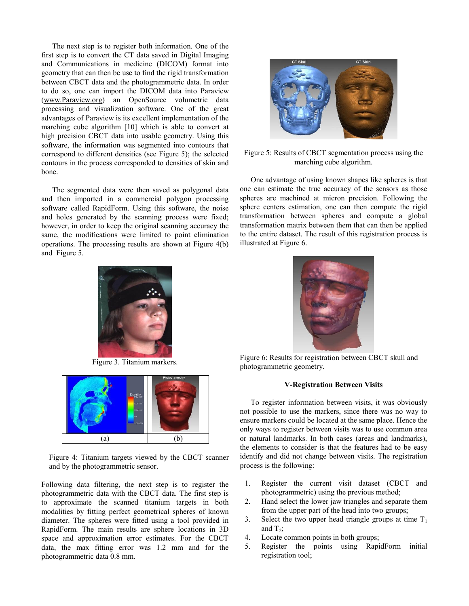The next step is to register both information. One of the first step is to convert the CT data saved in Digital Imaging and Communications in medicine (DICOM) format into geometry that can then be use to find the rigid transformation between CBCT data and the photogrammetric data. In order to do so, one can import the DICOM data into Paraview [\(www.Paraview.org\)](http://www.paraview.org/) an OpenSource volumetric data processing and visualization software. One of the great advantages of Paraview is its excellent implementation of the marching cube algorithm [10] which is able to convert at high precision CBCT data into usable geometry. Using this software, the information was segmented into contours that correspond to different densities (see Figure 5); the selected contours in the process corresponded to densities of skin and bone.

The segmented data were then saved as polygonal data and then imported in a commercial polygon processing software called RapidForm. Using this software, the noise and holes generated by the scanning process were fixed; however, in order to keep the original scanning accuracy the same, the modifications were limited to point elimination operations. The processing results are shown at Figure 4(b) and Figure 5.



Figure 3. Titanium markers.



Figure 4: Titanium targets viewed by the CBCT scanner and by the photogrammetric sensor.

Following data filtering, the next step is to register the photogrammetric data with the CBCT data. The first step is to approximate the scanned titanium targets in both modalities by fitting perfect geometrical spheres of known diameter. The spheres were fitted using a tool provided in RapidForm. The main results are sphere locations in 3D space and approximation error estimates. For the CBCT data, the max fitting error was 1.2 mm and for the photogrammetric data 0.8 mm.



## Figure 5: Results of CBCT segmentation process using the marching cube algorithm.

One advantage of using known shapes like spheres is that one can estimate the true accuracy of the sensors as those spheres are machined at micron precision. Following the sphere centers estimation, one can then compute the rigid transformation between spheres and compute a global transformation matrix between them that can then be applied to the entire dataset. The result of this registration process is illustrated at Figure 6.



Figure 6: Results for registration between CBCT skull and photogrammetric geometry.

### **V-Registration Between Visits**

To register information between visits, it was obviously not possible to use the markers, since there was no way to ensure markers could be located at the same place. Hence the only ways to register between visits was to use common area or natural landmarks. In both cases (areas and landmarks), the elements to consider is that the features had to be easy identify and did not change between visits. The registration process is the following:

- 1. Register the current visit dataset (CBCT and photogrammetric) using the previous method;
- 2. Hand select the lower jaw triangles and separate them from the upper part of the head into two groups;
- 3. Select the two upper head triangle groups at time  $T_1$ and  $T_2$ ;
- 4. Locate common points in both groups;
- 5. Register the points using RapidForm initial registration tool;